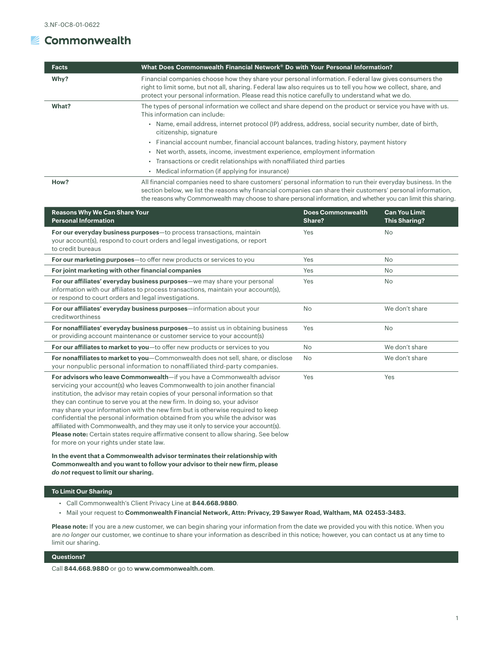## **■ Commonwealth**

| <b>Facts</b> | What Does Commonwealth Financial Network® Do with Your Personal Information?                                                                                                                                                                                                                                             |
|--------------|--------------------------------------------------------------------------------------------------------------------------------------------------------------------------------------------------------------------------------------------------------------------------------------------------------------------------|
| Why?         | Financial companies choose how they share your personal information. Federal law gives consumers the<br>right to limit some, but not all, sharing. Federal law also requires us to tell you how we collect, share, and<br>protect your personal information. Please read this notice carefully to understand what we do. |
| What?        | The types of personal information we collect and share depend on the product or service you have with us.<br>This information can include:                                                                                                                                                                               |
|              | . Name, email address, internet protocol (IP) address, address, social security number, date of birth,<br>citizenship, signature                                                                                                                                                                                         |
|              | • Financial account number, financial account balances, trading history, payment history                                                                                                                                                                                                                                 |
|              | • Net worth, assets, income, investment experience, employment information                                                                                                                                                                                                                                               |
|              | • Transactions or credit relationships with nonaffiliated third parties                                                                                                                                                                                                                                                  |
|              | • Medical information (if applying for insurance)                                                                                                                                                                                                                                                                        |
| How?         | All financial companies need to share customers' personal information to run their everyday business. In the<br>section below, we list the reasons why financial companies can share their customers' personal information.                                                                                              |

section below, we list the reasons why financial companies can share their customers' personal information, the reasons why Commonwealth may choose to share personal information, and whether you can limit this sharing.

| <b>Does Commonwealth</b><br>Share? | <b>Can You Limit</b><br><b>This Sharing?</b> |
|------------------------------------|----------------------------------------------|
| Yes                                | <b>No</b>                                    |
| Yes                                | <b>No</b>                                    |
| Yes                                | <b>No</b>                                    |
| Yes                                | <b>No</b>                                    |
| <b>No</b>                          | We don't share                               |
| Yes                                | <b>No</b>                                    |
| <b>No</b>                          | We don't share                               |
| <b>No</b>                          | We don't share                               |
| Yes                                | Yes                                          |
|                                    |                                              |

**In the event that a Commonwealth advisor terminates their relationship with Commonwealth and you want to follow your advisor to their new firm, please**  *do not* **request to limit our sharing.**

## **To Limit Our Sharing**

- Call Commonwealth's Client Privacy Line at **844.668.9880**.
- Mail your request to **Commonwealth Financial Network, Attn: Privacy, 29 Sawyer Road, Waltham, MA 02453-3483.**

**Please note:** If you are a *new* customer, we can begin sharing your information from the date we provided you with this notice. When you are *no longer* our customer, we continue to share your information as described in this notice; however, you can contact us at any time to limit our sharing.

## **Questions?**

Call **844.668.9880** or go to **[www.commonwealth.com](https://www.commonwealth.com/)**.